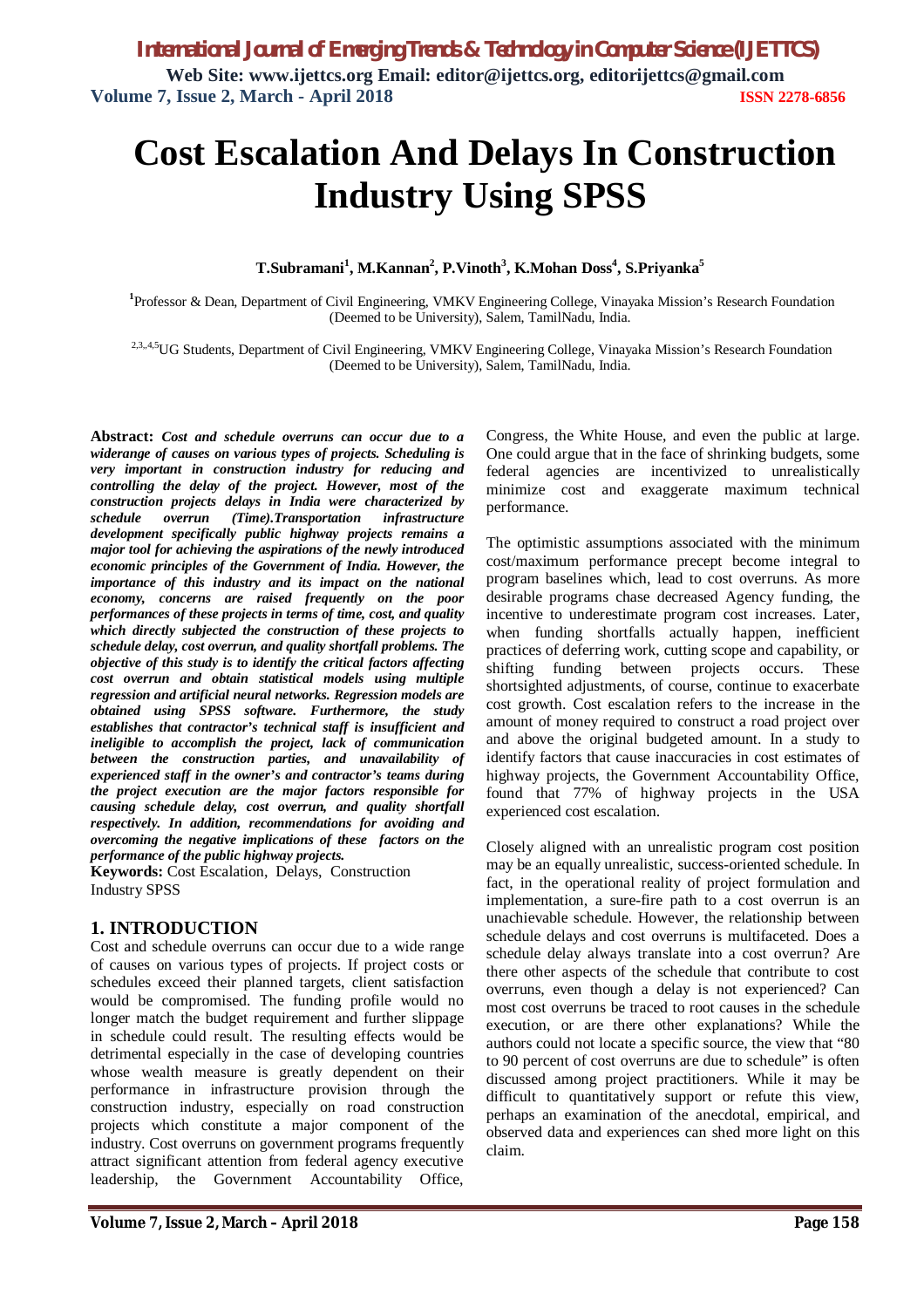# **Cost Escalation And Delays In Construction Industry Using SPSS**

**T.Subramani<sup>1</sup> , M.Kannan<sup>2</sup> , P.Vinoth<sup>3</sup> , K.Mohan Doss<sup>4</sup> , S.Priyanka<sup>5</sup>**

**1** Professor & Dean, Department of Civil Engineering, VMKV Engineering College, Vinayaka Mission's Research Foundation (Deemed to be University), Salem, TamilNadu, India.

<sup>2,3,,4,5</sup>UG Students, Department of Civil Engineering, VMKV Engineering College, Vinayaka Mission's Research Foundation (Deemed to be University), Salem, TamilNadu, India.

**Abstract:** *Cost and schedule overruns can occur due to a widerange of causes on various types of projects. Scheduling is very important in construction industry for reducing and controlling the delay of the project. However, most of the construction projects delays in India were characterized by schedule overrun (Time).Transportation infrastructure development specifically public highway projects remains a major tool for achieving the aspirations of the newly introduced economic principles of the Government of India. However, the importance of this industry and its impact on the national economy, concerns are raised frequently on the poor performances of these projects in terms of time, cost, and quality which directly subjected the construction of these projects to schedule delay, cost overrun, and quality shortfall problems. The objective of this study is to identify the critical factors affecting cost overrun and obtain statistical models using multiple regression and artificial neural networks. Regression models are obtained using SPSS software. Furthermore, the study establishes that contractor's technical staff is insufficient and ineligible to accomplish the project, lack of communication between the construction parties, and unavailability of experienced staff in the owner's and contractor's teams during the project execution are the major factors responsible for causing schedule delay, cost overrun, and quality shortfall respectively. In addition, recommendations for avoiding and overcoming the negative implications of these factors on the performance of the public highway projects.*

**Keywords:** Cost Escalation, Delays, Construction Industry SPSS

## **1. INTRODUCTION**

Cost and schedule overruns can occur due to a wide range of causes on various types of projects. If project costs or schedules exceed their planned targets, client satisfaction would be compromised. The funding profile would no longer match the budget requirement and further slippage in schedule could result. The resulting effects would be detrimental especially in the case of developing countries whose wealth measure is greatly dependent on their performance in infrastructure provision through the construction industry, especially on road construction projects which constitute a major component of the industry. Cost overruns on government programs frequently attract significant attention from federal agency executive leadership, the Government Accountability Office,

Congress, the White House, and even the public at large. One could argue that in the face of shrinking budgets, some federal agencies are incentivized to unrealistically minimize cost and exaggerate maximum technical performance.

The optimistic assumptions associated with the minimum cost/maximum performance precept become integral to program baselines which, lead to cost overruns. As more desirable programs chase decreased Agency funding, the incentive to underestimate program cost increases. Later, when funding shortfalls actually happen, inefficient practices of deferring work, cutting scope and capability, or shifting funding between projects occurs. These shortsighted adjustments, of course, continue to exacerbate cost growth. Cost escalation refers to the increase in the amount of money required to construct a road project over and above the original budgeted amount. In a study to identify factors that cause inaccuracies in cost estimates of highway projects, the Government Accountability Office, found that 77% of highway projects in the USA experienced cost escalation.

Closely aligned with an unrealistic program cost position may be an equally unrealistic, success-oriented schedule. In fact, in the operational reality of project formulation and implementation, a sure-fire path to a cost overrun is an unachievable schedule. However, the relationship between schedule delays and cost overruns is multifaceted. Does a schedule delay always translate into a cost overrun? Are there other aspects of the schedule that contribute to cost overruns, even though a delay is not experienced? Can most cost overruns be traced to root causes in the schedule execution, or are there other explanations? While the authors could not locate a specific source, the view that "80 to 90 percent of cost overruns are due to schedule" is often discussed among project practitioners. While it may be difficult to quantitatively support or refute this view, perhaps an examination of the anecdotal, empirical, and observed data and experiences can shed more light on this claim.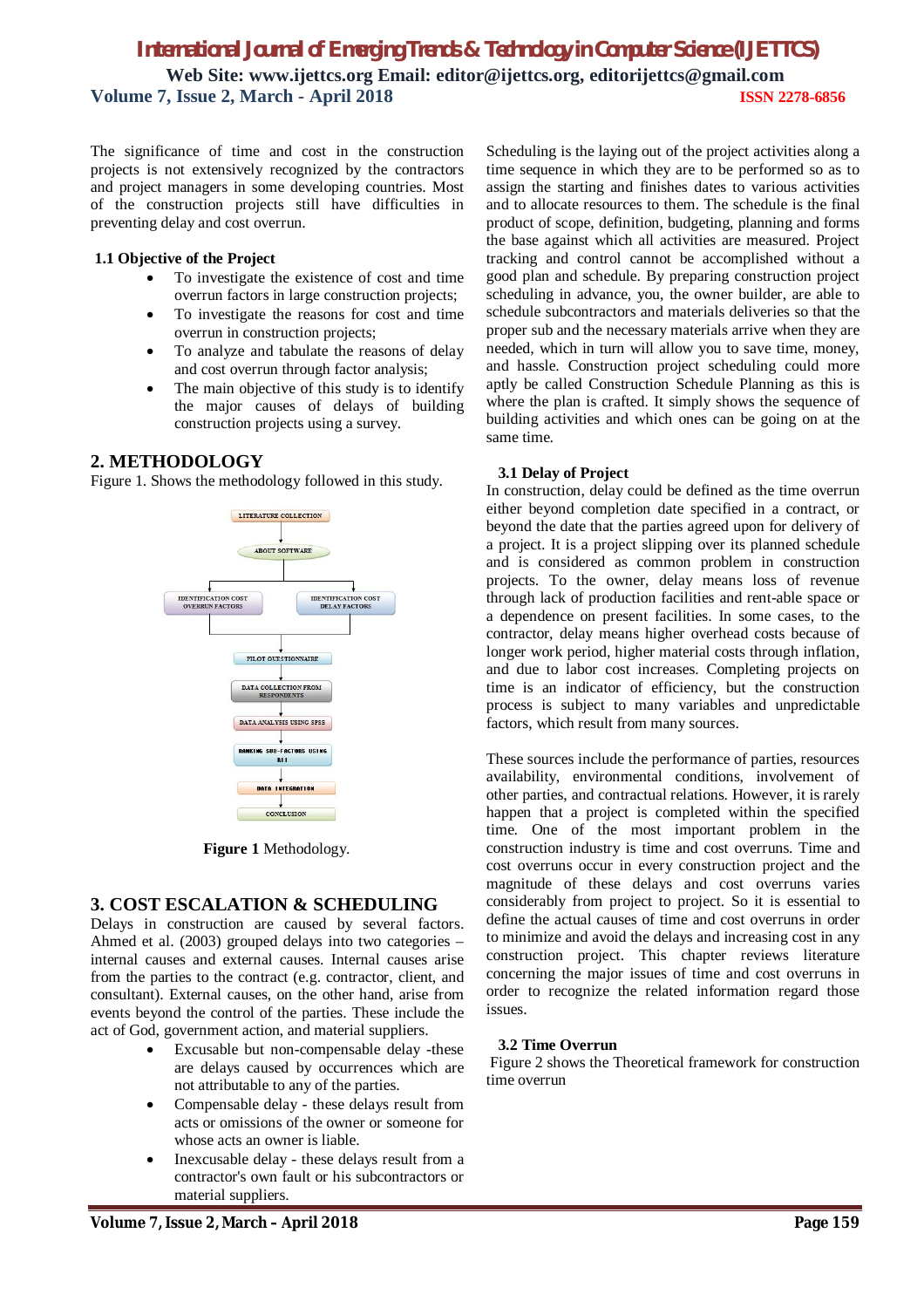The significance of time and cost in the construction projects is not extensively recognized by the contractors and project managers in some developing countries. Most of the construction projects still have difficulties in preventing delay and cost overrun.

## **1.1 Objective of the Project**

- To investigate the existence of cost and time overrun factors in large construction projects;
- To investigate the reasons for cost and time overrun in construction projects;
- To analyze and tabulate the reasons of delay and cost overrun through factor analysis;
- The main objective of this study is to identify the major causes of delays of building construction projects using a survey.

## **2. METHODOLOGY**

Figure 1. Shows the methodology followed in this study.



**Figure 1** Methodology.

## **3. COST ESCALATION & SCHEDULING**

Delays in construction are caused by several factors. Ahmed et al. (2003) grouped delays into two categories – internal causes and external causes. Internal causes arise from the parties to the contract (e.g. contractor, client, and consultant). External causes, on the other hand, arise from events beyond the control of the parties. These include the act of God, government action, and material suppliers.

- Excusable but non-compensable delay -these are delays caused by occurrences which are not attributable to any of the parties.
- Compensable delay these delays result from acts or omissions of the owner or someone for whose acts an owner is liable.
- Inexcusable delay these delays result from a contractor's own fault or his subcontractors or material suppliers.

Scheduling is the laying out of the project activities along a time sequence in which they are to be performed so as to assign the starting and finishes dates to various activities and to allocate resources to them. The schedule is the final product of scope, definition, budgeting, planning and forms the base against which all activities are measured. Project tracking and control cannot be accomplished without a good plan and schedule. By preparing construction project scheduling in advance, you, the owner builder, are able to schedule subcontractors and materials deliveries so that the proper sub and the necessary materials arrive when they are needed, which in turn will allow you to save time, money, and hassle. Construction project scheduling could more aptly be called Construction Schedule Planning as this is where the plan is crafted. It simply shows the sequence of building activities and which ones can be going on at the same time.

## **3.1 Delay of Project**

In construction, delay could be defined as the time overrun either beyond completion date specified in a contract, or beyond the date that the parties agreed upon for delivery of a project. It is a project slipping over its planned schedule and is considered as common problem in construction projects. To the owner, delay means loss of revenue through lack of production facilities and rent-able space or a dependence on present facilities. In some cases, to the contractor, delay means higher overhead costs because of longer work period, higher material costs through inflation, and due to labor cost increases. Completing projects on time is an indicator of efficiency, but the construction process is subject to many variables and unpredictable factors, which result from many sources.

These sources include the performance of parties, resources availability, environmental conditions, involvement of other parties, and contractual relations. However, it is rarely happen that a project is completed within the specified time. One of the most important problem in the construction industry is time and cost overruns. Time and cost overruns occur in every construction project and the magnitude of these delays and cost overruns varies considerably from project to project. So it is essential to define the actual causes of time and cost overruns in order to minimize and avoid the delays and increasing cost in any construction project. This chapter reviews literature concerning the major issues of time and cost overruns in order to recognize the related information regard those issues.

## **3.2 Time Overrun**

Figure 2 shows the Theoretical framework for construction time overrun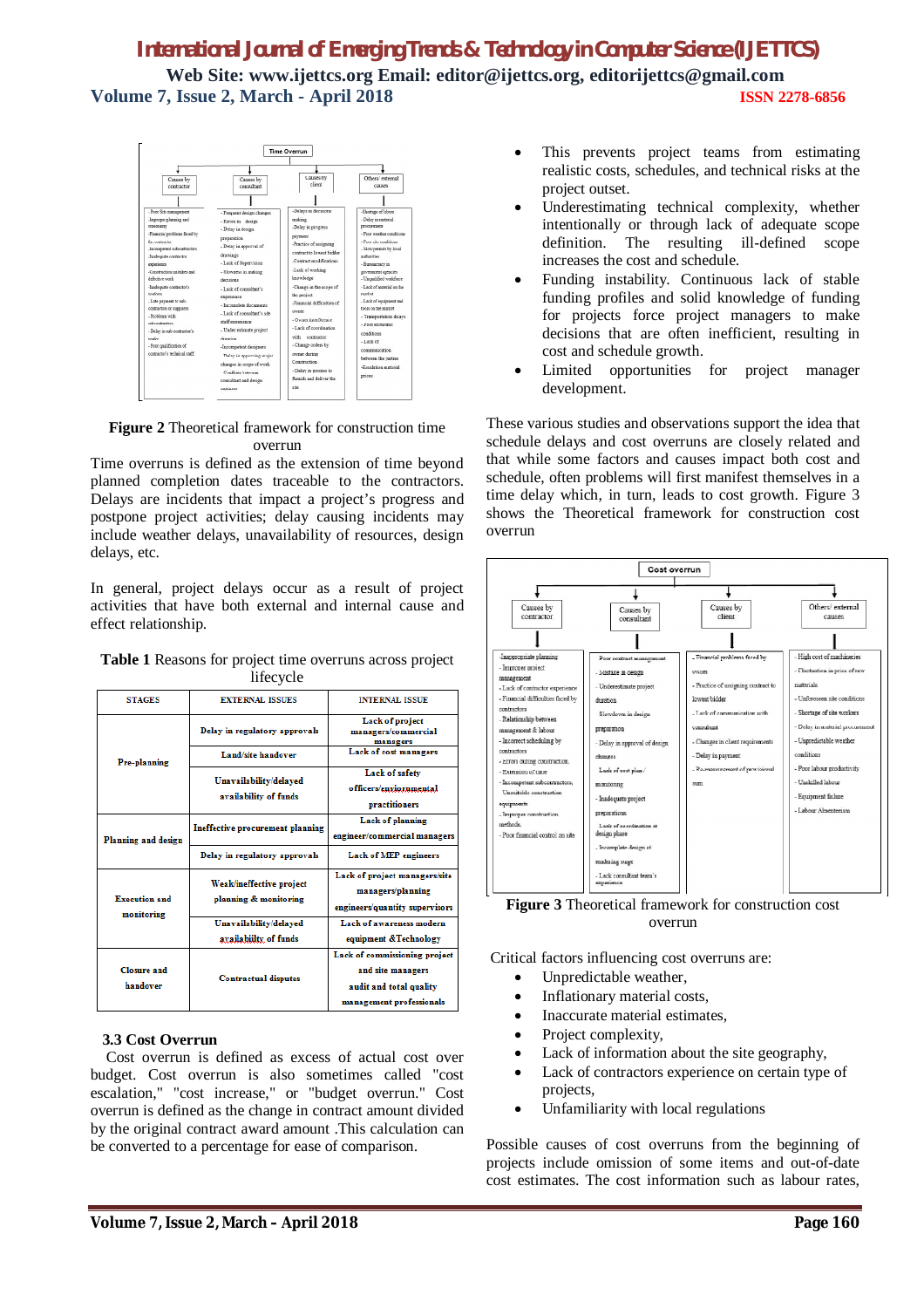

**Figure 2** Theoretical framework for construction time overrun

Time overruns is defined as the extension of time beyond planned completion dates traceable to the contractors. Delays are incidents that impact a project's progress and postpone project activities; delay causing incidents may include weather delays, unavailability of resources, design delays, etc.

In general, project delays occur as a result of project activities that have both external and internal cause and effect relationship.

| <b>HICC</b> YUIC                   |                                                   |                                                                                      |  |  |  |
|------------------------------------|---------------------------------------------------|--------------------------------------------------------------------------------------|--|--|--|
| <b>STAGES</b>                      | <b>EXTERNAL ISSUES</b>                            | <b>INTERNAL ISSUE</b>                                                                |  |  |  |
|                                    | Delay in regulatory approvals                     | Lack of project<br>managers/commercial<br>managers                                   |  |  |  |
| Pre-planning                       | Land/site handover                                | Lack of cost managers                                                                |  |  |  |
|                                    | Unavailability/delayed<br>availability of funds   | Lack of safety<br>officers/enviornmental<br>practitioners                            |  |  |  |
| Planning and design                | Ineffective procurement planning                  | Lack of planning<br>engineer/commercial managers                                     |  |  |  |
|                                    | Delay in regulatory approvals                     | <b>Lack of MEP</b> engineers                                                         |  |  |  |
| <b>Execution</b> and<br>monitoring | Weak/ineffective project<br>planning & monitoring | Lack of project managers/site<br>managers/planning<br>engineers/quantity supervisors |  |  |  |
|                                    | Unavailability/delayed<br>axailabiilty of funds   | Lack of awareness modern<br>equipment &Technology                                    |  |  |  |
| Closure and<br>handover            | <b>Contractual disputes</b>                       | Lack of commissioning project<br>and site managers<br>audit and total quality        |  |  |  |

#### **Table 1** Reasons for project time overruns across project  $l: \mathcal{L}_{n}$  and  $l$ .

## **3.3 Cost Overrun**

Cost overrun is defined as excess of actual cost over budget. Cost overrun is also sometimes called "cost escalation," "cost increase," or "budget overrun." Cost overrun is defined as the change in contract amount divided by the original contract award amount .This calculation can be converted to a percentage for ease of comparison.

management professionals

- This prevents project teams from estimating realistic costs, schedules, and technical risks at the project outset.
- Underestimating technical complexity, whether intentionally or through lack of adequate scope definition. The resulting ill-defined scope increases the cost and schedule.
- Funding instability. Continuous lack of stable funding profiles and solid knowledge of funding for projects force project managers to make decisions that are often inefficient, resulting in cost and schedule growth.
- Limited opportunities for project manager development.

These various studies and observations support the idea that schedule delays and cost overruns are closely related and that while some factors and causes impact both cost and schedule, often problems will first manifest themselves in a time delay which, in turn, leads to cost growth. Figure 3 shows the Theoretical framework for construction cost overrun



**Figure 3** Theoretical framework for construction cost overrun

Critical factors influencing cost overruns are:

- Unpredictable weather,
- Inflationary material costs,
- Inaccurate material estimates,
- Project complexity,
- Lack of information about the site geography,
- Lack of contractors experience on certain type of projects,
- Unfamiliarity with local regulations

Possible causes of cost overruns from the beginning of projects include omission of some items and out-of-date cost estimates. The cost information such as labour rates,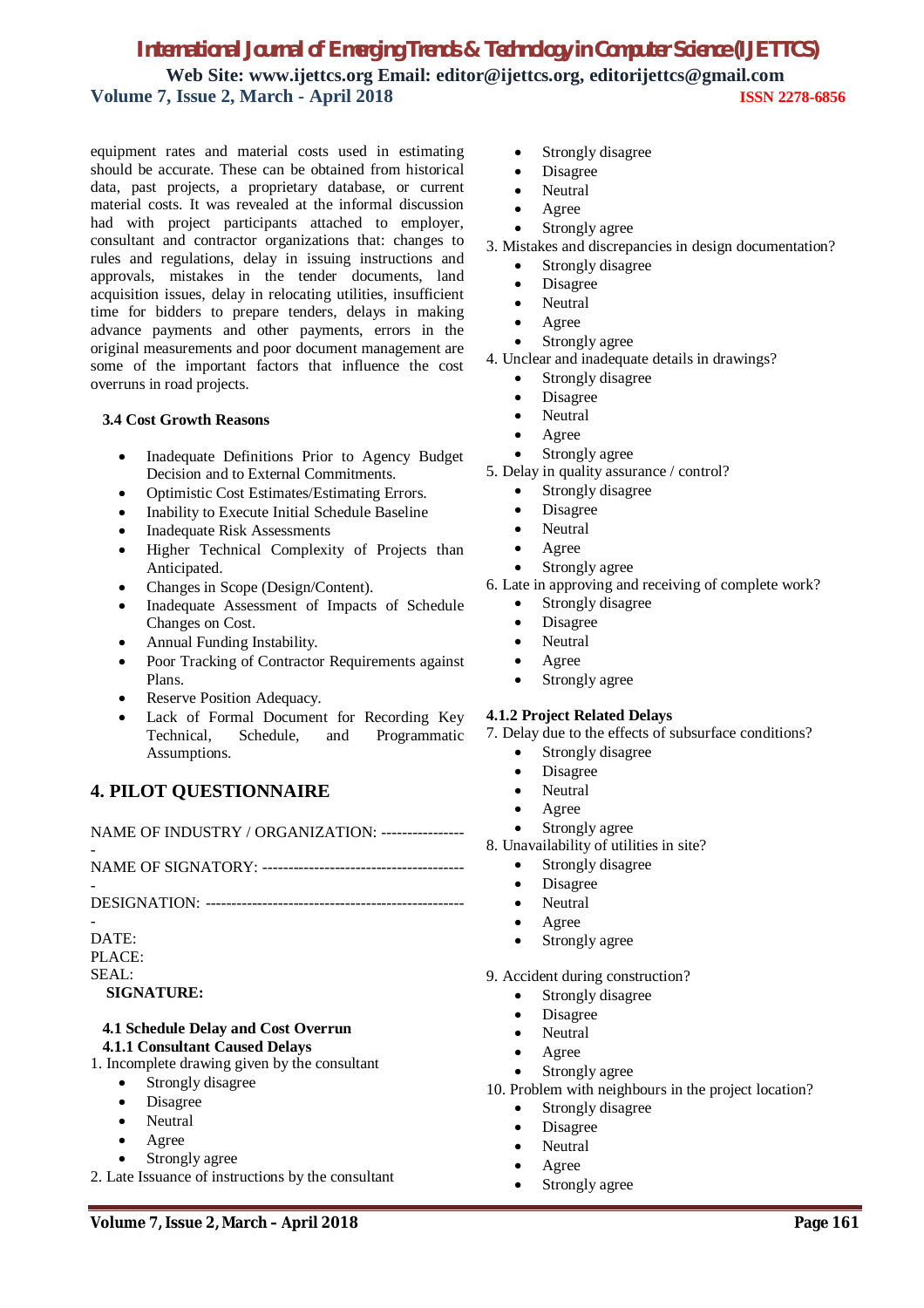equipment rates and material costs used in estimating should be accurate. These can be obtained from historical data, past projects, a proprietary database, or current material costs. It was revealed at the informal discussion had with project participants attached to employer, consultant and contractor organizations that: changes to rules and regulations, delay in issuing instructions and approvals, mistakes in the tender documents, land acquisition issues, delay in relocating utilities, insufficient time for bidders to prepare tenders, delays in making advance payments and other payments, errors in the original measurements and poor document management are some of the important factors that influence the cost overruns in road projects.

## **3.4 Cost Growth Reasons**

- Inadequate Definitions Prior to Agency Budget Decision and to External Commitments.
- Optimistic Cost Estimates/Estimating Errors.
- Inability to Execute Initial Schedule Baseline
- Inadequate Risk Assessments
- Higher Technical Complexity of Projects than Anticipated.
- Changes in Scope (Design/Content).
- Inadequate Assessment of Impacts of Schedule Changes on Cost.
- Annual Funding Instability.
- Poor Tracking of Contractor Requirements against Plans.
- Reserve Position Adequacy.
- Lack of Formal Document for Recording Key Technical, Schedule, and Programmatic Assumptions.

# **4. PILOT QUESTIONNAIRE**

NAME OF INDUSTRY / ORGANIZATION: ----------------

- NAME OF SIGNATORY: ---------------------------------------

- DESIGNATION: --------------------------------------------------

#### - DATE: PLACE: SEAL: **SIGNATURE:**

## **4.1 Schedule Delay and Cost Overrun 4.1.1 Consultant Caused Delays**

- 1. Incomplete drawing given by the consultant
	- Strongly disagree
	- Disagree
	- Neutral
	- Agree
	- Strongly agree

2. Late Issuance of instructions by the consultant

- Strongly disagree
- Disagree
- Neutral
- Agree
- Strongly agree
- 3. Mistakes and discrepancies in design documentation?
	- Strongly disagree
	- Disagree
	- Neutral
	- Agree
	- Strongly agree
- 4. Unclear and inadequate details in drawings?
	- Strongly disagree
	- Disagree
	- Neutral
	- Agree
	- Strongly agree
- 5. Delay in quality assurance / control?
	- Strongly disagree
	- Disagree
	- Neutral
	- Agree
	- Strongly agree
- 6. Late in approving and receiving of complete work?
	- Strongly disagree
	- Disagree
	- Neutral
	- Agree
	- Strongly agree

## **4.1.2 Project Related Delays**

7. Delay due to the effects of subsurface conditions?

- Strongly disagree
- Disagree
- Neutral
- Agree
- Strongly agree
- 8. Unavailability of utilities in site?
	- Strongly disagree
	- Disagree
	- Neutral
	- Agree
	- Strongly agree

## 9. Accident during construction?

- Strongly disagree
- Disagree
- Neutral
- Agree
- Strongly agree

10. Problem with neighbours in the project location?

- Strongly disagree
- Disagree
- Neutral
- Agree
- Strongly agree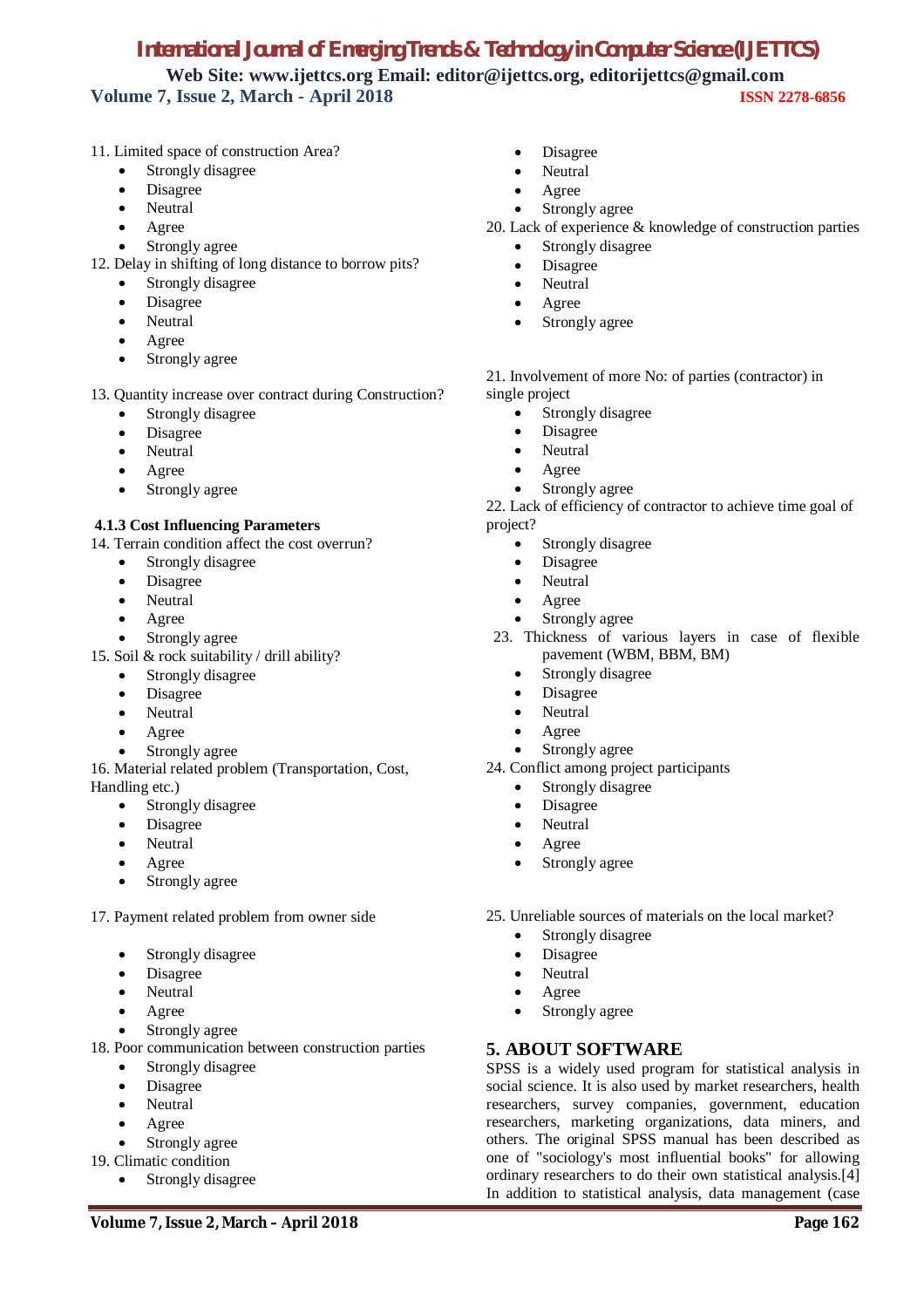# *International Journal of Emerging Trends & Technology in Computer Science (IJETTCS)*

**Web Site: www.ijettcs.org Email: editor@ijettcs.org, editorijettcs@gmail.com Volume 7, Issue 2, March - April 2018 ISSN 2278-6856**

- 11. Limited space of construction Area?
	- Strongly disagree
	- Disagree
	- Neutral
	- Agree
	- Strongly agree
- 12. Delay in shifting of long distance to borrow pits?
	- Strongly disagree
	- Disagree
	- Neutral
	- Agree
	- Strongly agree
- 13. Quantity increase over contract during Construction?
	- Strongly disagree
	- Disagree
	- Neutral
	- Agree
	- Strongly agree

## **4.1.3 Cost Influencing Parameters**

- 14. Terrain condition affect the cost overrun?
	- Strongly disagree
	- Disagree
	- Neutral
	- Agree
	- Strongly agree
- 15. Soil & rock suitability / drill ability?
	- Strongly disagree
	- Disagree
	- Neutral
	- Agree
	- Strongly agree

16. Material related problem (Transportation, Cost, Handling etc.)

- Strongly disagree
- Disagree
- Neutral
- Agree
- Strongly agree

17. Payment related problem from owner side

- Strongly disagree
- Disagree
- Neutral
- Agree
- Strongly agree
- 18. Poor communication between construction parties
	- Strongly disagree
	- Disagree
	- Neutral
	- Agree
	- Strongly agree
- 19. Climatic condition
	- Strongly disagree
- Disagree
- Neutral
- Agree
- Strongly agree
- 20. Lack of experience & knowledge of construction parties
	- Strongly disagree
	- Disagree
	- Neutral
	- Agree
	- Strongly agree

21. Involvement of more No: of parties (contractor) in single project

- Strongly disagree
- Disagree
- Neutral
- Agree
- Strongly agree

22. Lack of efficiency of contractor to achieve time goal of project?

- Strongly disagree
- Disagree
- Neutral
- Agree
- Strongly agree
- 23. Thickness of various layers in case of flexible pavement (WBM, BBM, BM)
	- Strongly disagree
	- Disagree
	- Neutral
	- Agree
	- Strongly agree
- 24. Conflict among project participants
	- Strongly disagree
	- Disagree
	- Neutral
	- Agree
	- Strongly agree
- 25. Unreliable sources of materials on the local market?
	- Strongly disagree
	- Disagree
	- Neutral
	- Agree
	- Strongly agree

## **5. ABOUT SOFTWARE**

SPSS is a widely used program for statistical analysis in social science. It is also used by market researchers, health researchers, survey companies, government, education researchers, marketing organizations, data miners, and others. The original SPSS manual has been described as one of "sociology's most influential books" for allowing ordinary researchers to do their own statistical analysis.[4] In addition to statistical analysis, data management (case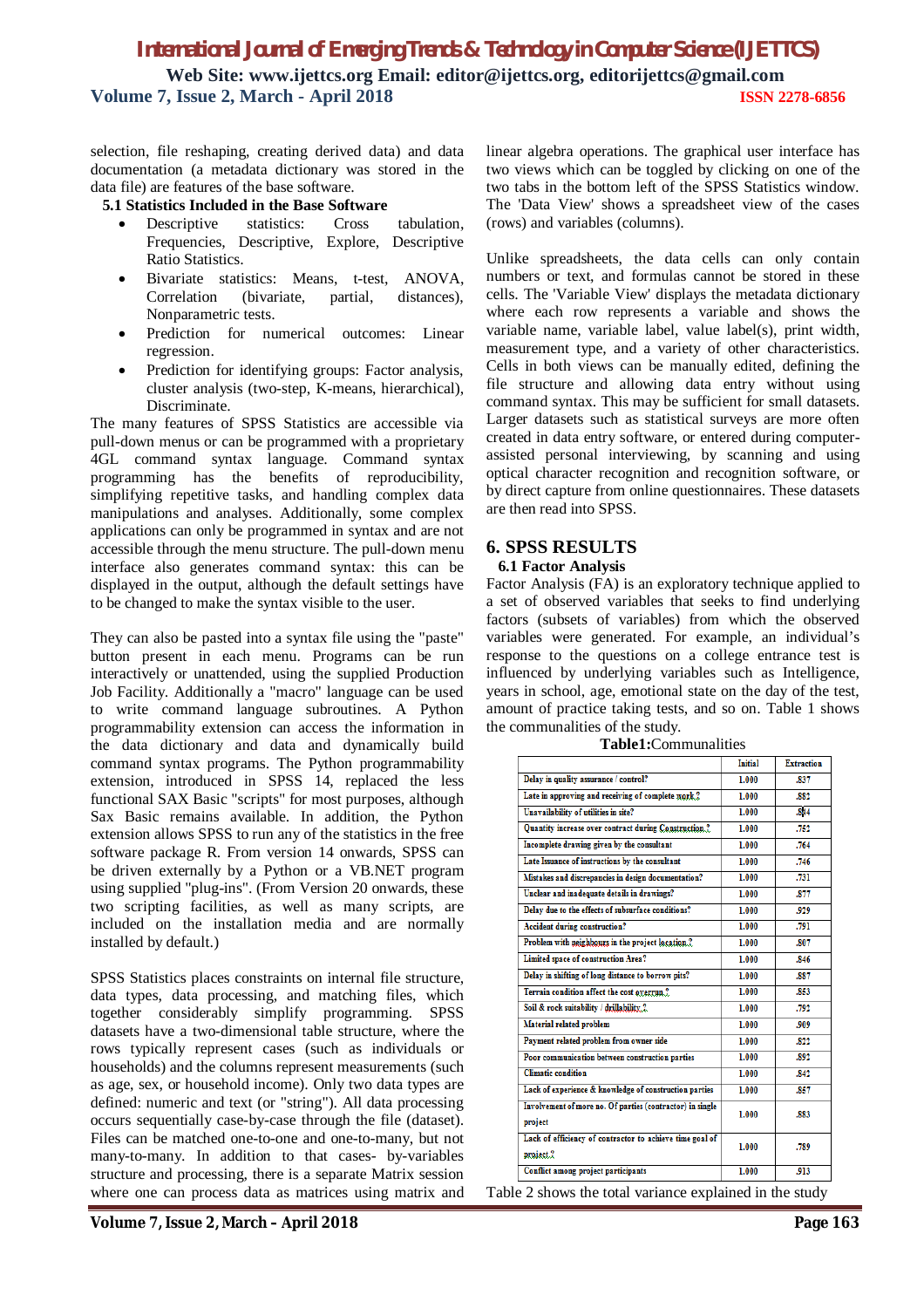selection, file reshaping, creating derived data) and data documentation (a metadata dictionary was stored in the data file) are features of the base software.

**5.1 Statistics Included in the Base Software** 

- Descriptive statistics: Cross tabulation, Frequencies, Descriptive, Explore, Descriptive Ratio Statistics.
- Bivariate statistics: Means, t-test, ANOVA, Correlation (bivariate, partial, distances), Nonparametric tests.
- Prediction for numerical outcomes: Linear regression.
- Prediction for identifying groups: Factor analysis, cluster analysis (two-step, K-means, hierarchical), Discriminate.

The many features of SPSS Statistics are accessible via pull-down menus or can be programmed with a proprietary 4GL command syntax language. Command syntax programming has the benefits of reproducibility, simplifying repetitive tasks, and handling complex data manipulations and analyses. Additionally, some complex applications can only be programmed in syntax and are not accessible through the menu structure. The pull-down menu interface also generates command syntax: this can be displayed in the output, although the default settings have to be changed to make the syntax visible to the user.

They can also be pasted into a syntax file using the "paste" button present in each menu. Programs can be run interactively or unattended, using the supplied Production Job Facility. Additionally a "macro" language can be used to write command language subroutines. A Python programmability extension can access the information in the data dictionary and data and dynamically build command syntax programs. The Python programmability extension, introduced in SPSS 14, replaced the less functional SAX Basic "scripts" for most purposes, although Sax Basic remains available. In addition, the Python extension allows SPSS to run any of the statistics in the free software package R. From version 14 onwards, SPSS can be driven externally by a Python or a VB.NET program using supplied "plug-ins". (From Version 20 onwards, these two scripting facilities, as well as many scripts, are included on the installation media and are normally installed by default.)

SPSS Statistics places constraints on internal file structure, data types, data processing, and matching files, which together considerably simplify programming. SPSS datasets have a two-dimensional table structure, where the rows typically represent cases (such as individuals or households) and the columns represent measurements (such as age, sex, or household income). Only two data types are defined: numeric and text (or "string"). All data processing occurs sequentially case-by-case through the file (dataset). Files can be matched one-to-one and one-to-many, but not many-to-many. In addition to that cases- by-variables structure and processing, there is a separate Matrix session where one can process data as matrices using matrix and

**Volume 7, Issue 2, March – April 2018 Page 163**

linear algebra operations. The graphical user interface has two views which can be toggled by clicking on one of the two tabs in the bottom left of the SPSS Statistics window. The 'Data View' shows a spreadsheet view of the cases (rows) and variables (columns).

Unlike spreadsheets, the data cells can only contain numbers or text, and formulas cannot be stored in these cells. The 'Variable View' displays the metadata dictionary where each row represents a variable and shows the variable name, variable label, value label(s), print width, measurement type, and a variety of other characteristics. Cells in both views can be manually edited, defining the file structure and allowing data entry without using command syntax. This may be sufficient for small datasets. Larger datasets such as statistical surveys are more often created in data entry software, or entered during computerassisted personal interviewing, by scanning and using optical character recognition and recognition software, or by direct capture from online questionnaires. These datasets are then read into SPSS.

#### **6. SPSS RESULTS 6.1 Factor Analysis**

the communalities of the study.

Factor Analysis (FA) is an exploratory technique applied to a set of observed variables that seeks to find underlying factors (subsets of variables) from which the observed variables were generated. For example, an individual's response to the questions on a college entrance test is influenced by underlying variables such as Intelligence,

|                                                                       | <b>Initial</b> | <b>Extraction</b> |
|-----------------------------------------------------------------------|----------------|-------------------|
| Delay in quality assurance / control?                                 | 1.000          | .837              |
| Late in approving and receiving of complete work.2                    | 1.000          | .882              |
| Unavailability of utilities in site?                                  | 1.000          | .844              |
| Quantity increase over contract during Construction.?                 | 1.000          | .752              |
| Incomplete drawing given by the consultant                            | 1.000          | .764              |
| Late Issuance of instructions by the consultant                       | 1.000          | .746              |
| Mistakes and discrepancies in design documentation?                   | 1.000          | .731              |
| Unclear and inadequate details in drawings?                           | 1.000          | .877              |
| Delay due to the effects of subsurface conditions?                    | 1.000          | .929              |
| <b>Accident during construction?</b>                                  | 1.000          | .791              |
| Problem with neighbours in the project location.?                     | 1.000          | .807              |
| Limited space of construction Area?                                   | 1.000          | .846              |
| Delay in shifting of long distance to borrow pits?                    | 1.000          | .887              |
| Terrain condition affect the cost overrun.?                           | 1.000          | .853              |
| Soil & rock suitability / drillability, 2.                            | 1.000          | .792              |
| Material related problem                                              | 1.000          | .909              |
| Payment related problem from owner side                               | 1.000          | .822              |
| Poor communication between construction parties                       | 1.000          | .892              |
| <b>Climatic condition</b>                                             | 1.000          | .842              |
| Lack of experience & knowledge of construction parties                | 1.000          | .857              |
| Involvement of more no. Of parties (contractor) in single<br>project  | 1.000          | .883              |
| Lack of efficiency of contractor to achieve time goal of<br>project.? | 1.000          | .789              |
| <b>Conflict among project participants</b>                            | 1.000          | .913              |

**Table1:**Communalities

years in school, age, emotional state on the day of the test, amount of practice taking tests, and so on. Table 1 shows

Table 2 shows the total variance explained in the study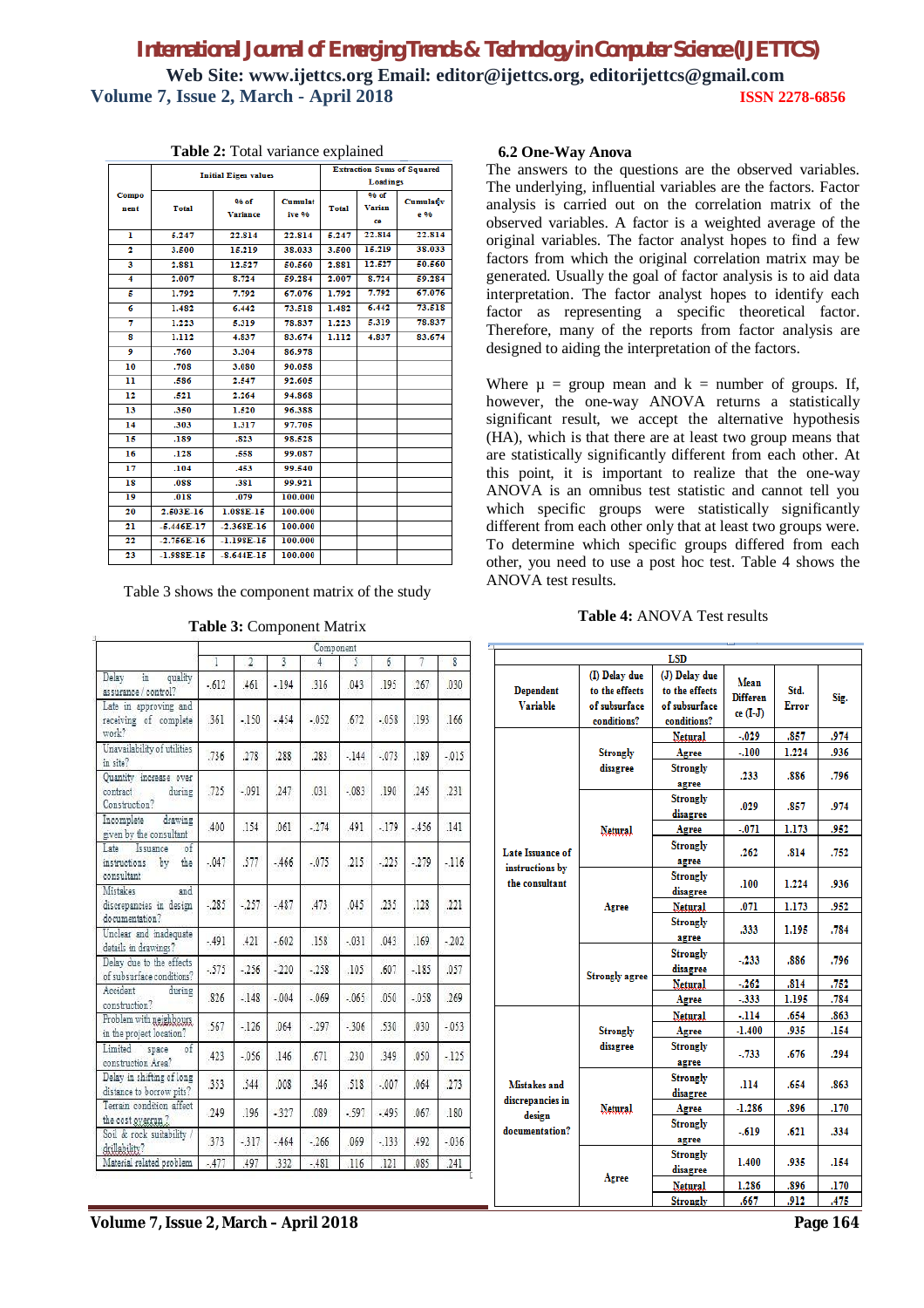|                         |              |                             |                          |              |                              | <b>Extraction Sums of Squared</b> |
|-------------------------|--------------|-----------------------------|--------------------------|--------------|------------------------------|-----------------------------------|
|                         |              | <b>Initial Eigen values</b> |                          |              | Loadings                     |                                   |
| Compo<br>nent           | Total        | 96 of<br><b>Variance</b>    | <b>Cumulat</b><br>ive 06 | <b>Total</b> | 96 of<br><b>Varian</b><br>ce | <b>Cumulat</b> y<br>e 96          |
| ı                       | 5.247        | 22.814                      | 22.814                   | 5.247        | 22.814                       | 22.814                            |
| $\overline{\mathbf{2}}$ | 3.500        | 15.219                      | 38.033                   | 3.500        | 15.219                       | 38.033                            |
| 3                       | 2.881        | 12.527                      | 50.560                   | 2.881        | 12.527                       | 50.560                            |
| 4                       | 2.007        | 8.724                       | 59.284                   | 2.007        | 8.724                        | 59.284                            |
| s                       | 1.792        | 7.792                       | 67.076                   | 1.792        | 7.792                        | 67.076                            |
| 6                       | 1.482        | 6.442                       | 73.518                   | 1.482        | 6.442                        | 73.518                            |
| 7                       | 1.223        | 5.319                       | 78.837                   | 1.223        | 5.319                        | 78.837                            |
| $\overline{\mathbf{s}}$ | 1.112        | 4.837                       | 83.674                   | 1.112        | 4.837                        | 83.674                            |
| 9                       | .760         | 3.304                       | 86.978                   |              |                              |                                   |
| 10                      | .708         | 3.080                       | 90.058                   |              |                              |                                   |
| n                       | .586         | 2.547                       | 92.605                   |              |                              |                                   |
| 12                      | .521         | 2.264                       | 94.868                   |              |                              |                                   |
| 13                      | .350         | 1.520                       | 96.388                   |              |                              |                                   |
| 14                      | .303         | 1.317                       | 97.705                   |              |                              |                                   |
| 15                      | .189         | .823                        | 98.528                   |              |                              |                                   |
| 16                      | .128         | .558                        | 99.087                   |              |                              |                                   |
| 17                      | .104         | .453                        | 99.540                   |              |                              |                                   |
| 18                      | .088         | .381                        | 99.921                   |              |                              |                                   |
| $\overline{19}$         | .018         | .079                        | 100.000                  |              |                              |                                   |
| 20                      | 2.503E-16    | 1.088E-15                   | 100.000                  |              |                              |                                   |
| 21                      | $-5.446E-17$ | $-2.368E-16$                | 100.000                  |              |                              |                                   |
| 22                      | $-2.756E-16$ | $-1.198E-15$                | 100.000                  |              |                              |                                   |
| 23                      | $-1.988E-15$ | $-8.644E-15$                | 100.000                  |              |                              |                                   |

#### **Table 2:** Total variance explained

Table 3 shows the component matrix of the study

**Table 3:** Component Matrix

|                                                                   |         |          |         | Component |         |          |          |                |
|-------------------------------------------------------------------|---------|----------|---------|-----------|---------|----------|----------|----------------|
|                                                                   | 1       | 2        | 3       | 4         | 5       | 6        |          | $\overline{8}$ |
| Delay<br>quality<br>in<br>assurance / control?                    | $-612$  | .461     | $-194$  | 316       | .043    | .195     | .267     | .030           |
| Late in approving and<br>receiving of complete<br>work?           | .361    | $-150$   | $-454$  | $-.052$   | .672    | $-0.58$  | .193     | .166           |
| Unavailability of utilities<br>in site?                           | .736    | 278      | .288    | 283       | $-144$  | $-0.073$ | .189     | $-015$         |
| Quantity increase over<br>contract<br>during<br>Construction?     | .725    | $-.091$  | .247    | .031      | $-083$  | .190     | .245     | .231           |
| Incomplete<br>drawing<br>given by the consultant                  | .400    | .154     | .061    | $-274$    | .491    | $-179$   | $-456$   | .141           |
| Issuance<br>Late<br>of<br>instructions<br>by<br>the<br>consultant | $-.047$ | .577     | $-466$  | $-.075$   | .215    | $-225$   | $-279$   | $-116$         |
| Mistakes<br>and<br>discrepancies in design<br>documentation?      | $-285$  | $-257$   | $-.487$ | .473      | .045    | .235     | .128     | .221           |
| Unclear and inadequate<br>details in drawings?                    | $-491$  | .421     | $-.602$ | .158      | $-.031$ | .043     | .169     | $-202$         |
| Delay due to the effects<br>of subsurface conditions?             | $-575$  | $-256$   | $-220$  | $-258$    | .105    | .607     | $-185$   | .057           |
| Accident<br>during<br>construction?                               | .826    | $-148$   | $-.004$ | $-069$    | $-065$  | .050     | $-0.058$ | .269           |
| Problem with neighbours.<br>in the project location?              | .567    | $-126$   | .064    | $-297$    | $-306$  | .530     | .030     | $-0.053$       |
| Limited<br>space<br>of<br>construction Area?                      | .423    | $-0.056$ | .146    | .671      | .230    | 349      | .050     | $-125$         |
| Delay in shifting of long<br>distance to borrow pits?             | 353     | .544     | .008    | .346      | .518    | $-.007$  | .064     | .273           |
| Terrain condition affect<br>the cost gyerrun?                     | .249    | .196     | $-327$  | .089      | $-597$  | $-495$   | .067     | .180           |
| Soil & rock suitability /<br>drillability?                        | .373    | $-317$   | $-464$  | $-266$    | .069    | $-133$   | .492     | $-0.36$        |
| Material related problem                                          | $-477$  | .497     | .332    | $-481$    | .116    | .121     | .085     | 241            |

#### **6.2 One-Way Anova**

The answers to the questions are the observed variables. The underlying, influential variables are the factors. Factor analysis is carried out on the correlation matrix of the observed variables. A factor is a weighted average of the original variables. The factor analyst hopes to find a few factors from which the original correlation matrix may be generated. Usually the goal of factor analysis is to aid data interpretation. The factor analyst hopes to identify each factor as representing a specific theoretical factor. Therefore, many of the reports from factor analysis are designed to aiding the interpretation of the factors.

Where  $\mu$  = group mean and  $k$  = number of groups. If, however, the one-way ANOVA returns a statistically significant result, we accept the alternative hypothesis (HA), which is that there are at least two group means that are statistically significantly different from each other. At this point, it is important to realize that the one-way ANOVA is an omnibus test statistic and cannot tell you which specific groups were statistically significantly different from each other only that at least two groups were. To determine which specific groups differed from each other, you need to use a post hoc test. Table 4 shows the ANOVA test results.

#### **Table 4:** ANOVA Test results

|                                   |                                                                 | <b>LSD</b>                                                      |                                      |               |      |
|-----------------------------------|-----------------------------------------------------------------|-----------------------------------------------------------------|--------------------------------------|---------------|------|
| <b>Dependent</b><br>Variable      | (I) Delay due<br>to the effects<br>of subsurface<br>conditions? | (J) Delay due<br>to the effects<br>of subsurface<br>conditions? | Mean<br><b>Differen</b><br>$ce(I-J)$ | Std.<br>Error | Sig. |
|                                   |                                                                 | Netural                                                         | $-.029$                              | .857          | .974 |
|                                   | Strongly                                                        | Agree                                                           | $-.100$                              | 1.224         | .936 |
|                                   | disagree                                                        | Strongly<br>agree                                               | .233                                 | .886          | .796 |
|                                   |                                                                 | Strongly<br>disagree                                            | .029                                 | .857          | .974 |
|                                   | Netural                                                         | Agree                                                           | $-.071$                              | 1.173         | .952 |
| Late Issuance of                  |                                                                 | <b>Strongly</b><br>agree                                        | .262                                 | .814          | .752 |
| instructions by<br>the consultant |                                                                 | Strongly<br>disagree                                            | .100                                 | 1.224         | .936 |
|                                   | Agree                                                           | <b>Netural</b>                                                  | .071                                 | 1.173         | .952 |
|                                   |                                                                 | Strongly<br>agree                                               | .333                                 | 1.195         | .784 |
|                                   |                                                                 | Strongly<br>disagree                                            | $-233$                               | .886          | .796 |
|                                   | <b>Strongly agree</b>                                           | <b>Netural</b>                                                  | $-262$                               | .814          | .752 |
|                                   |                                                                 | Agree                                                           | $-333$                               | 1.195         | .784 |
|                                   |                                                                 | Netural                                                         | $-114$                               | .654          | .863 |
|                                   | Strongly                                                        | Agree                                                           | $-1.400$                             | .935          | .154 |
|                                   | disagree                                                        | <b>Strongly</b><br>agree                                        | $-733$                               | .676          | .294 |
| Mistakes and                      |                                                                 | Strongly<br>disagree                                            | .114                                 | .654          | .863 |
| discrepancies in                  | <b>Netural</b>                                                  | Agree                                                           | $-1.286$                             | .896          | .170 |
| design<br>documentation?          |                                                                 | <b>Strongly</b><br>agree                                        | $-.619$                              | .621          | .334 |
|                                   |                                                                 | Strongly<br>disagree                                            | 1.400                                | .935          | .154 |
|                                   | Agree                                                           | <b>Netural</b>                                                  | 1.286                                | .896          | .170 |
|                                   |                                                                 | <b>Channels</b>                                                 | 667                                  | 019           | A TE |

**Volume 7, Issue 2, March – April 2018 Page 164**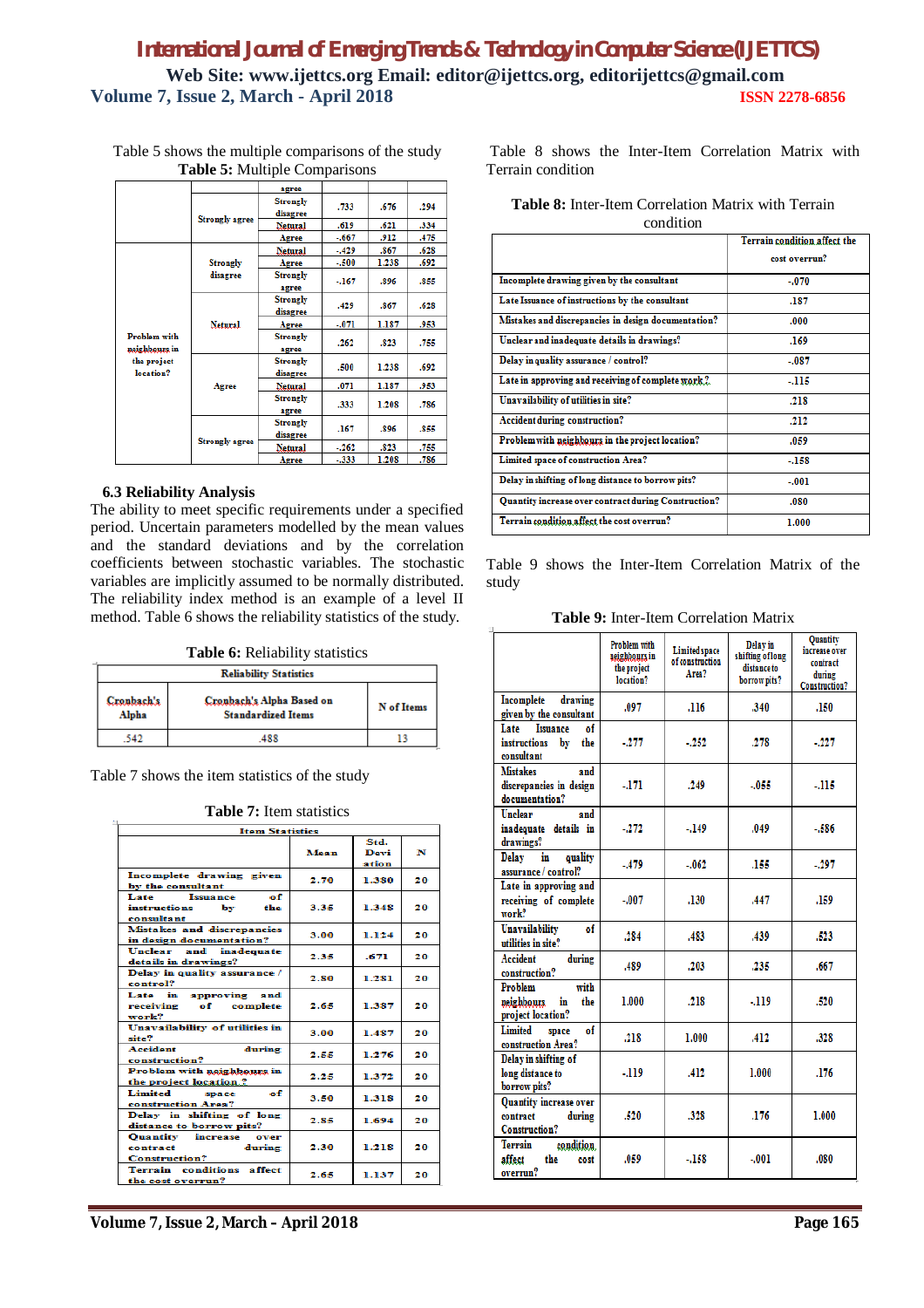|                                                           |                       | agree                       |         |       |      |
|-----------------------------------------------------------|-----------------------|-----------------------------|---------|-------|------|
|                                                           |                       | <b>Strongly</b><br>disagree | .733    | .676  | .294 |
|                                                           | <b>Strongly agree</b> | Netural                     | .619    | .621  | .334 |
|                                                           |                       | Agree                       | $-.667$ | .912  | .475 |
|                                                           |                       | Netural                     | $-.429$ | .867  | .628 |
|                                                           | <b>Strongly</b>       | Agree                       | $-.500$ | 1.238 | .692 |
|                                                           | disagree              | <b>Strongly</b><br>agree    | $-167$  | .896  | .855 |
| Problem with<br>neighbours in<br>the project<br>location? |                       | <b>Strongly</b><br>disagree | .429    | .867  | .628 |
|                                                           | <b>Netural</b>        | Agree                       | $-.071$ | 1.187 | .953 |
|                                                           |                       | <b>Strongly</b><br>agree    | .262    | .823  | .755 |
|                                                           |                       | <b>Strongly</b><br>disagree | .500    | 1.238 | .692 |
|                                                           | Agree                 | Netural                     | .071    | 1.187 | .953 |
|                                                           |                       | <b>Strongly</b><br>agree    | .333    | 1.208 | .786 |
|                                                           |                       | <b>Strongly</b><br>disagree | .167    | .896  | .855 |
|                                                           | <b>Strongly agree</b> | Netural                     | $-262$  | .823  | .755 |
|                                                           |                       |                             | $-.333$ | 1.208 | .786 |

#### Table 5 shows the multiple comparisons of the study **Table 5:** Multiple Comparisons

## **6.3 Reliability Analysis**

The ability to meet specific requirements under a specified period. Uncertain parameters modelled by the mean values and the standard deviations and by the correlation coefficients between stochastic variables. The stochastic variables are implicitly assumed to be normally distributed. The reliability index method is an example of a level II method. Table 6 shows the reliability statistics of the study.

**Table 6:** Reliability statistics

| <b>Reliability Statistics</b> |                                                        |            |  |  |
|-------------------------------|--------------------------------------------------------|------------|--|--|
| Cronbach's<br>Alpha           | Cronbach's Alpha Based on<br><b>Standardized Items</b> | N of Items |  |  |
|                               | 488                                                    |            |  |  |

Table 7 shows the item statistics of the study

**Table 7:** Item statistics

| <b>Item Statistics</b>                                                         |      |                       |    |
|--------------------------------------------------------------------------------|------|-----------------------|----|
|                                                                                | Mean | Std.<br>Devi<br>ation | N  |
| Incomplete drawing given<br>by the consultant                                  | 2.70 | 1.380                 | 20 |
| of<br>Late<br>Issuance<br>instructions by the<br>consultant                    | 3.35 | 1.348                 | 20 |
| Mistakes and discrepancies<br>in design documentation?                         | 3.00 | 1.124                 | 20 |
| Unclear and inadequate<br>details in drawings?                                 | 2.35 | .671                  | 20 |
| Delay in quality assurance /<br>control?                                       | 2.80 | 1.281                 | 20 |
| Late in approving and<br>receiving of complete<br>work?                        | 2.65 | 1.387                 | 20 |
| Unavailability of utilities in<br>site?                                        | 3.00 | 1.487                 | 20 |
| Accident<br>during<br>construction?                                            | 2.55 | 1.276                 | 20 |
| Problem with neighbours in<br>the project location.?                           | 2.25 | 1.372                 | 20 |
| Limited<br>- of<br>space<br>construction Area?                                 | 3.50 | 1.318                 | 20 |
| Delay in shifting of long<br>distance to borrow pits?                          | 2.85 | 1.694                 | 20 |
| <b>Ouantity</b> increase<br>over<br>contract<br>during<br><b>Construction?</b> | 2.30 | 1.218                 | 20 |
| <b>Terrain</b> conditions affect<br>the cost overrun?                          | 2.65 | 1.137                 | 20 |

Table 8 shows the Inter-Item Correlation Matrix with Terrain condition

| <b>Table 8:</b> Inter-Item Correlation Matrix with Terrain |  |  |
|------------------------------------------------------------|--|--|
| condition                                                  |  |  |

|                                                      | Terrain condition affect the<br>cost overrun? |
|------------------------------------------------------|-----------------------------------------------|
| Incomplete drawing given by the consultant           | $-.070$                                       |
| Late Issuance of instructions by the consultant      | .187                                          |
| Mistakes and discrepancies in design documentation?  | .000                                          |
| Unclear and inadequate details in drawings?          | .169                                          |
| Delay in quality assurance / control?                | $-.087$                                       |
| Late in approving and receiving of complete work?    | -.115                                         |
| Unavailability of utilities in site?                 | .218                                          |
| <b>Accident during construction?</b>                 | .212                                          |
| Problem with neighbours in the project location?     | .059                                          |
| Limited space of construction Area?                  | $-158$                                        |
| Delay in shifting of long distance to borrow pits?   | $-.001$                                       |
| Quantity increase over contract during Construction? | .080                                          |
| Terrain condition affect the cost overrun?           | 1.000                                         |

Table 9 shows the Inter-Item Correlation Matrix of the study

**Table 9:** Inter-Item Correlation Matrix

|                                                                             | Problem with<br>neighbours in<br>the project<br>location? | <b>Limited space</b><br>of construction<br>Ares? | <b>Delay</b> in<br>shifting of long<br>distance to<br>borrow pits? | <b>Quantity</b><br>increase over<br>contract<br>during<br>Construction? |
|-----------------------------------------------------------------------------|-----------------------------------------------------------|--------------------------------------------------|--------------------------------------------------------------------|-------------------------------------------------------------------------|
| Incomplete<br>drawing<br>given by the consultant                            | .097                                                      | .116                                             | .340                                                               | .150                                                                    |
| Issuance<br>Late<br>of<br>instructions<br>by<br>the<br>consultant           | $-277$                                                    | $-252$                                           | .278                                                               | $-227$                                                                  |
| <b>Mistakes</b><br>and<br>discrepancies in design<br>documentation?         | -.171                                                     | .249                                             | $-0.55$                                                            | $-115$                                                                  |
| Unclear<br>and<br>inadequate details in<br>drawings?                        | $-272$                                                    | $-149$                                           | .049                                                               | $-586$                                                                  |
| <b>Delay</b><br>in<br>quality<br>assurance / control?                       | $-479$                                                    | $-062$                                           | .155                                                               | $-297$                                                                  |
| Late in approving and<br>receiving of complete<br>work?                     | $-.007$                                                   | .130                                             | .447                                                               | .159                                                                    |
| Unavailability<br>of<br>utilities in site?                                  | .284                                                      | .483                                             | .439                                                               | .523                                                                    |
| <b>Accident</b><br>during<br>construction?                                  | .489                                                      | .203                                             | .235                                                               | .667                                                                    |
| Problem<br>with<br>neighbours<br>the<br>in<br>project location?             | 1.000                                                     | .218                                             | $-119$                                                             | .520                                                                    |
| Limited<br>of<br>space<br>construction Area?                                | .218                                                      | 1.000                                            | .412                                                               | .328                                                                    |
| Delay in shifting of<br>long distance to<br>borrow pits?                    | $-119$                                                    | .412                                             | 1.000                                                              | .176                                                                    |
| <b>Ouantity increase over</b><br>contract<br>during<br><b>Construction?</b> | .520                                                      | .328                                             | .176                                                               | 1.000                                                                   |
| Terrain<br>condition.<br>the<br>affect<br>cost<br>overrun?                  | .059                                                      | $-158$                                           | $-.001$                                                            | .080                                                                    |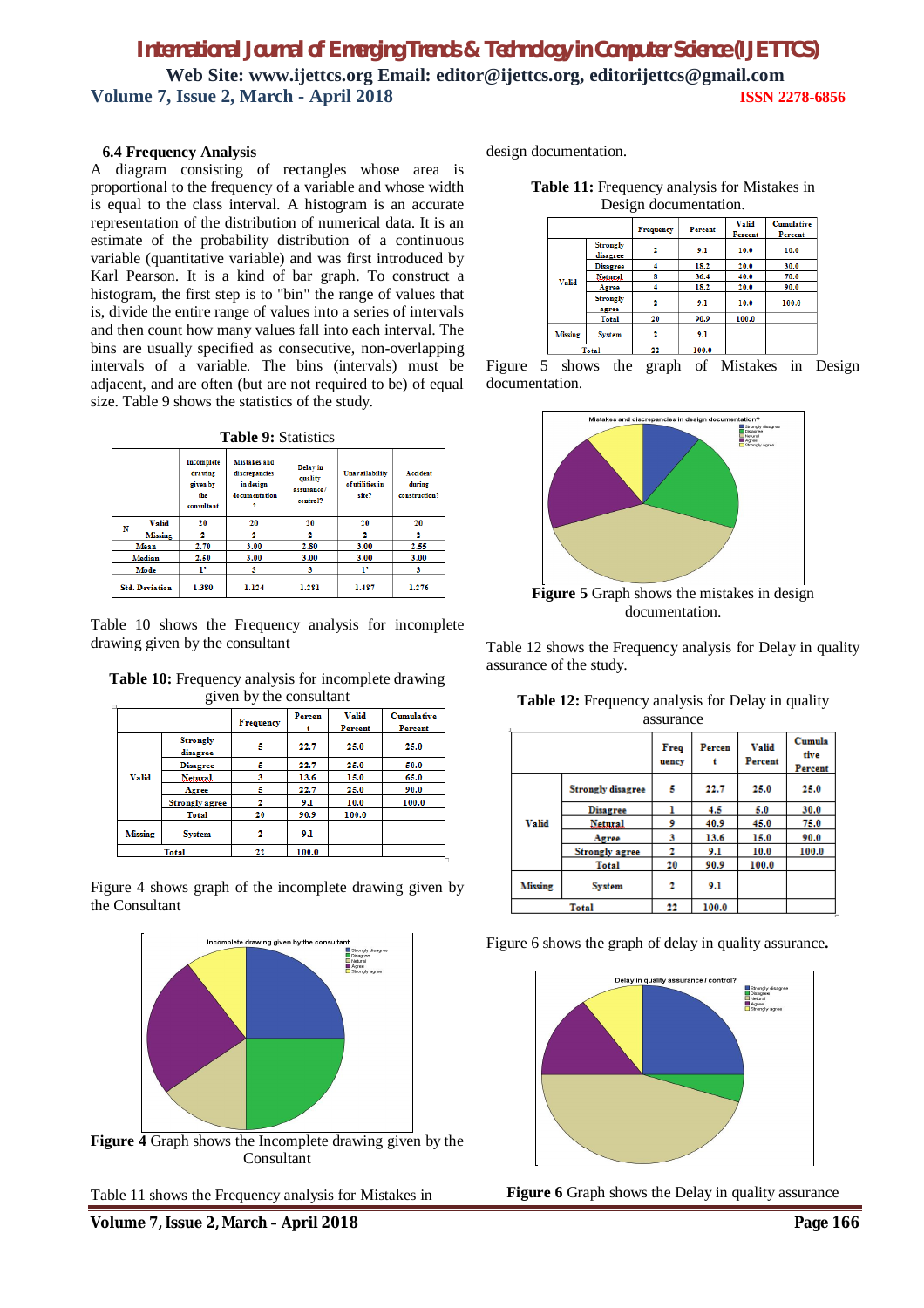#### **6.4 Frequency Analysis**

A diagram consisting of rectangles whose area is proportional to the frequency of a variable and whose width is equal to the class interval. A histogram is an accurate representation of the distribution of numerical data. It is an estimate of the probability distribution of a continuous variable (quantitative variable) and was first introduced by Karl Pearson. It is a kind of bar graph. To construct a histogram, the first step is to "bin" the range of values that is, divide the entire range of values into a series of intervals and then count how many values fall into each interval. The bins are usually specified as consecutive, non-overlapping intervals of a variable. The bins (intervals) must be adjacent, and are often (but are not required to be) of equal size. Table 9 shows the statistics of the study.

|  |  |  | <b>Table 9: Statistics</b> |
|--|--|--|----------------------------|
|--|--|--|----------------------------|

|                       |              | Incomplete<br>drawing<br>given by<br>the<br>consultant | <b>Mistakes</b> and<br>discrepancies<br>in design<br>documentation | <b>Delay</b> in<br>quality<br>assurance/<br>control? | <b>Unavailability</b><br>of utilities in<br>site? | Accident<br>during<br>construction? |
|-----------------------|--------------|--------------------------------------------------------|--------------------------------------------------------------------|------------------------------------------------------|---------------------------------------------------|-------------------------------------|
| N                     | <b>Valid</b> | 20                                                     | 20                                                                 | 20                                                   | 20                                                | 20                                  |
|                       | Missing      | 2                                                      |                                                                    | 2                                                    | 2                                                 | 2                                   |
| Mean                  |              | 2.70                                                   | 3.00                                                               | 2.80                                                 | 3.00                                              | 2.55                                |
| Median                |              | 2.50                                                   | 3.00                                                               | 3.00                                                 | 3.00                                              | 3.00                                |
| Mode                  |              | r                                                      | 3                                                                  | 3                                                    | r                                                 | 3                                   |
| <b>Std. Deviation</b> |              | 1.380                                                  | 1.124                                                              | 1.281                                                | 1.487                                             | 1.276                               |

Table 10 shows the Frequency analysis for incomplete drawing given by the consultant

| Table 10: Frequency analysis for incomplete drawing |  |
|-----------------------------------------------------|--|
| given by the consultant                             |  |

|              |                             | <b>Frequency</b> | Percen | <b>Valid</b><br>Percent | <b>Cumulative</b><br>Percent |
|--------------|-----------------------------|------------------|--------|-------------------------|------------------------------|
|              | <b>Strongly</b><br>disagree | 5                | 22.7   | 25.0                    | 25.0                         |
|              | <b>Disagree</b>             | 5                | 22.7   | 25.0                    | 50.0                         |
| <b>Valid</b> | Netural                     | 3                | 13.6   | 15.0                    | 65.0                         |
|              | Agree                       | 5                | 22.7   | 25.0                    | 90.0                         |
|              | <b>Strongly agree</b>       | 2                | 9.1    | 10.0                    | 100.0                        |
|              | <b>Total</b>                | 20               | 90.9   | 100.0                   |                              |
| Missing      | System                      | 2                | 9.1    |                         |                              |
| Total        |                             | 22               | 100.0  |                         |                              |

Figure 4 shows graph of the incomplete drawing given by the Consultant



Table 11 shows the Frequency analysis for Mistakes in

design documentation.

| Table 11: Frequency analysis for Mistakes in |  |
|----------------------------------------------|--|
| Design documentation.                        |  |

|                |                             | <b>Frequency</b> | Percent | <b>Valid</b><br>Percent | <b>Cumulative</b><br>Percent |
|----------------|-----------------------------|------------------|---------|-------------------------|------------------------------|
|                | <b>Strongly</b><br>disagree | 2                | 9.1     | 10.0                    | 10.0                         |
|                | <b>Disagree</b>             |                  | 18.2    | 20.0                    | 30.0                         |
| <b>Valid</b>   | Netural                     | 8                | 36.4    | 40.0                    | 70.0                         |
|                | Agree                       |                  | 18.2    | 20.0                    | 90.0                         |
|                | <b>Strongly</b><br>agree    | 2                | 9.1     | 10.0                    | 100.0                        |
|                | <b>Total</b>                | 20               | 90.9    | 100.0                   |                              |
| <b>Missing</b> | <b>System</b>               | 2                | 9.1     |                         |                              |
| Total          |                             | 22               | 100.0   |                         |                              |

Figure 5 shows the graph of Mistakes in Design documentation.



**Figure 5** Graph shows the mistakes in design documentation.

Table 12 shows the Frequency analysis for Delay in quality assurance of the study.

| assurance    |                          |               |        |                         |                           |  |  |
|--------------|--------------------------|---------------|--------|-------------------------|---------------------------|--|--|
|              |                          | Freq<br>uency | Percen | <b>Valid</b><br>Percent | Cumula<br>tive<br>Percent |  |  |
|              | <b>Strongly disagree</b> | 5             | 22.7   | 25.0                    | 25.0                      |  |  |
|              | <b>Disagree</b>          |               | 4.5    | 5.0                     | 30.0                      |  |  |
| <b>Valid</b> | Netural                  | 9             | 40.9   | 45.0                    | 75.0                      |  |  |
|              | Agree                    | 3             | 13.6   | 15.0                    | 90.0                      |  |  |
|              | <b>Strongly agree</b>    | 2             | 9.1    | 10.0                    | 100.0                     |  |  |
|              | <b>Total</b>             | 20            | 90.9   | 100.0                   |                           |  |  |
| Missing      | <b>System</b>            | 2             | 9.1    |                         |                           |  |  |
|              | 100.0<br>22<br>Total     |               |        |                         |                           |  |  |

**Table 12:** Frequency analysis for Delay in quality assurance

Figure 6 shows the graph of delay in quality assurance**.** 



**Figure 6** Graph shows the Delay in quality assurance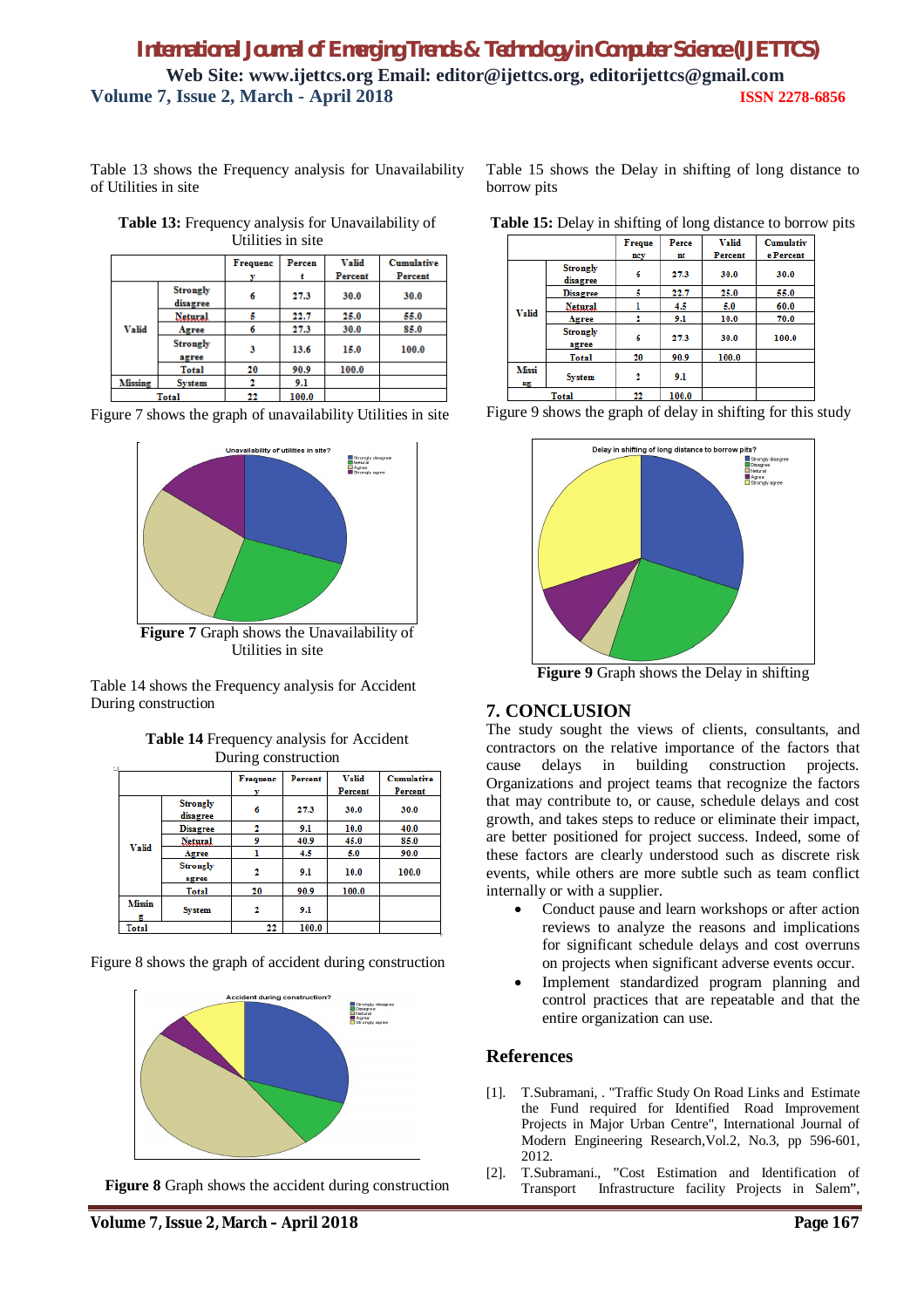Table 13 shows the Frequency analysis for Unavailability of Utilities in site

Table 15 shows the Delay in shifting of long distance to borrow pits

| <b>Table 13:</b> Frequency analysis for Unavailability of |
|-----------------------------------------------------------|
| Utilities in site                                         |

|              |                             | Frequenc | Percen | Valid   | <b>Cumulative</b> |  |
|--------------|-----------------------------|----------|--------|---------|-------------------|--|
|              |                             |          |        | Percent | Percent           |  |
|              | <b>Strongly</b><br>disagree | 6        | 27.3   | 30.0    | 30.0              |  |
|              | <b>Netural</b>              | 5        | 22.7   | 25.0    | 55.0              |  |
| <b>Valid</b> | Agree                       | 6        | 27.3   | 30.0    | 85.0              |  |
|              | <b>Strongly</b><br>agree    | 3        | 13.6   | 15.0    | 100.0             |  |
|              | Total                       | 20       | 90.9   | 100.0   |                   |  |
| Missing      | <b>System</b>               |          | 9.1    |         |                   |  |
|              | Total                       | 22       | 100.0  |         |                   |  |

Figure 7 shows the graph of unavailability Utilities in site



Utilities in site

Table 14 shows the Frequency analysis for Accident During construction

| <b>Table 14 Frequency analysis for Accident</b> |
|-------------------------------------------------|
| During construction                             |

|               |                             | Frequenc | Percent | <b>Valid</b><br>Percent | <b>Cumulative</b><br>Percent |
|---------------|-----------------------------|----------|---------|-------------------------|------------------------------|
|               | <b>Strongly</b><br>disagree | 6        | 27.3    | 30.0                    | 30.0                         |
|               | <b>Disagree</b>             | 2        | 9.1     | 10.0                    | 40.0                         |
|               | <b>Netural</b>              | 9        | 40.9    | 45.0                    | 85.0                         |
| <b>Valid</b>  | Agree                       |          | 4.5     | 5.0                     | 90.0                         |
|               | <b>Strongly</b><br>agree    | 2        | 9.1     | 10.0                    | 100.0                        |
|               | Total                       | 20       | 90.9    | 100.0                   |                              |
| <b>Missin</b> | <b>System</b>               | 2        | 9.1     |                         |                              |
| Total         |                             | 22       | 100.0   |                         |                              |

Figure 8 shows the graph of accident during construction



**Figure 8** Graph shows the accident during construction

| <b>Table 15:</b> Delay in shifting of long distance to borrow pits |  |
|--------------------------------------------------------------------|--|

|              |                             | Freque | Perce | <b>Valid</b> | <b>Cumulativ</b> |
|--------------|-----------------------------|--------|-------|--------------|------------------|
|              |                             | ncy    | nt    | Percent      | e Percent        |
|              | <b>Strongly</b><br>disagree | 6      | 27.3  | 30.0         | 30.0             |
|              | <b>Disagree</b>             | 5      | 22.7  | 25.0         | 55.0             |
|              | Netural                     |        | 4.5   | 5.0          | 60.0             |
| <b>Valid</b> | Agree                       |        | 9.1   | 10.0         | 70.0             |
|              | <b>Strongly</b><br>agree    | 6      | 27.3  | 30.0         | 100.0            |
|              | Total                       | 20     | 90.9  | 100.0        |                  |
| Missi<br>ng  | <b>System</b>               |        | 9.1   |              |                  |
|              | Total                       | 22     | 100.0 |              |                  |

Figure 9 shows the graph of delay in shifting for this study



**Figure 9** Graph shows the Delay in shifting

## **7. CONCLUSION**

The study sought the views of clients, consultants, and contractors on the relative importance of the factors that cause delays in building construction projects. Organizations and project teams that recognize the factors that may contribute to, or cause, schedule delays and cost growth, and takes steps to reduce or eliminate their impact, are better positioned for project success. Indeed, some of these factors are clearly understood such as discrete risk events, while others are more subtle such as team conflict internally or with a supplier.

- Conduct pause and learn workshops or after action reviews to analyze the reasons and implications for significant schedule delays and cost overruns on projects when significant adverse events occur.
- Implement standardized program planning and control practices that are repeatable and that the entire organization can use.

## **References**

- [1]. T.Subramani, . "Traffic Study On Road Links and Estimate the Fund required for Identified Road Improvement Projects in Major Urban Centre", International Journal of Modern Engineering Research,Vol.2, No.3, pp 596-601, 2012.
- [2]. T.Subramani., "Cost Estimation and Identification of Transport Infrastructure facility Projects in Salem",